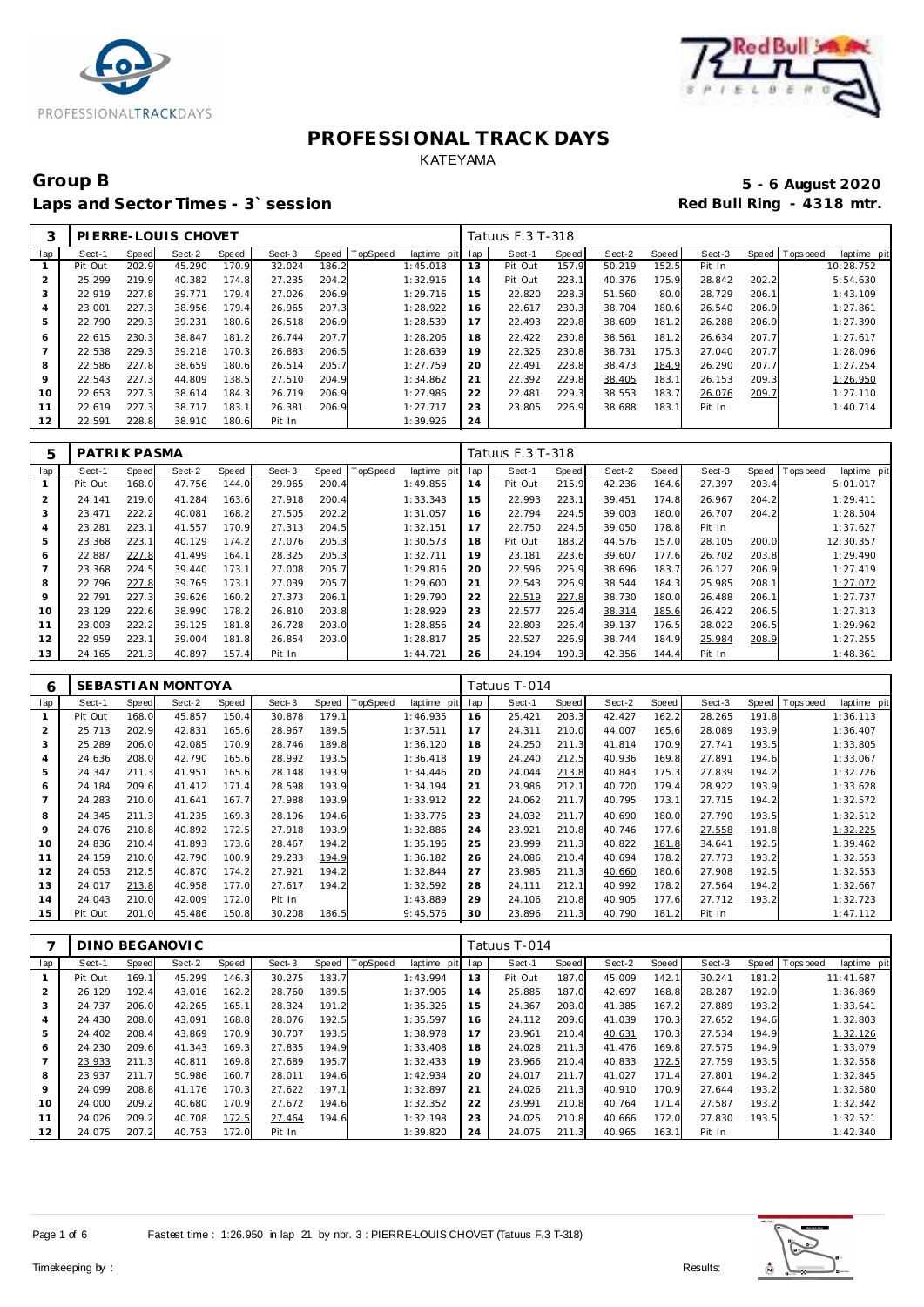



# Group B<br> **Example 2020**<br>
Laps and Sector Times - 3`session<br> **Example 2020**<br>
Red Bull Ring - 4318 mtr. Laps and Sector Times - 3<sup>\*</sup> session

| 3              |         |       | PLERRE-LOUIS CHOVET |       |        |       |          |                 |    | Tatuus F.3 T-318 |       |        |       |        |       |                |             |
|----------------|---------|-------|---------------------|-------|--------|-------|----------|-----------------|----|------------------|-------|--------|-------|--------|-------|----------------|-------------|
| lap            | Sect-1  | Speed | Sect-2              | Speed | Sect-3 | Speed | TopSpeed | laptime pit lap |    | Sect-1           | Speed | Sect-2 | Speed | Sect-3 |       | Speed Topspeed | laptime pit |
|                | Pit Out | 202.9 | 45.290              | 170.9 | 32.024 | 186.2 |          | 1:45.018        | 13 | Pit Out          | 157.9 | 50.219 | 152.5 | Pit In |       |                | 10:28.752   |
| 2              | 25.299  | 219.9 | 40.382              | 174.8 | 27.235 | 204.2 |          | 1:32.916        | 14 | Pit Out          | 223.1 | 40.376 | 175.9 | 28.842 | 202.2 |                | 5:54.630    |
| 3              | 22.919  | 227.8 | 39.771              | 179.4 | 27.026 | 206.9 |          | 1:29.716        | 15 | 22.820           | 228.3 | 51.560 | 80.0  | 28.729 | 206.1 |                | 1:43.109    |
| $\overline{4}$ | 23.001  | 227.3 | 38.956              | 179.4 | 26.965 | 207.3 |          | 1:28.922        | 16 | 22.617           | 230.3 | 38.704 | 180.6 | 26.540 | 206.9 |                | 1:27.861    |
| 5              | 22.790  | 229.3 | 39.231              | 180.6 | 26.518 | 206.9 |          | 1:28.539        | 17 | 22.493           | 229.8 | 38.609 | 181.2 | 26.288 | 206.9 |                | 1:27.390    |
| 6              | 22.615  | 230.3 | 38.847              | 181.2 | 26.744 | 207.7 |          | 1:28.206        | 18 | 22.422           | 230.8 | 38.561 | 181.2 | 26.634 | 207.7 |                | 1:27.617    |
|                | 22.538  | 229.3 | 39.218              | 170.3 | 26.883 | 206.5 |          | 1:28.639        | 19 | 22.325           | 230.8 | 38.731 | 175.3 | 27.040 | 207.7 |                | 1:28.096    |
| 8              | 22.586  | 227.8 | 38.659              | 180.6 | 26.514 | 205.7 |          | 1:27.759        | 20 | 22.491           | 228.8 | 38.473 | 184.9 | 26.290 | 207.7 |                | 1:27.254    |
| 9              | 22.543  | 227.3 | 44.809              | 138.5 | 27.510 | 204.9 |          | 1:34.862        | 21 | 22.392           | 229.8 | 38.405 | 183.1 | 26.153 | 209.3 |                | 1:26.950    |
| 10             | 22.653  | 227.3 | 38.614              | 184.3 | 26.719 | 206.9 |          | 1:27.986        | 22 | 22.481           | 229.3 | 38.553 | 183.7 | 26.076 | 209.7 |                | 1:27.110    |
| 11             | 22.619  | 227.3 | 38.717              | 183.1 | 26.381 | 206.9 |          | 1:27.717        | 23 | 23.805           | 226.9 | 38.688 | 183.1 | Pit In |       |                | 1:40.714    |
| 12             | 22.591  | 228.8 | 38.910              | 180.6 | Pit In |       |          | 1:39.926        | 24 |                  |       |        |       |        |       |                |             |

| 5              | PATRIK PASMA |       |        |       |        |       |                |                 |     | Tatuus F.3 T-318 |       |        |       |        |       |                |             |
|----------------|--------------|-------|--------|-------|--------|-------|----------------|-----------------|-----|------------------|-------|--------|-------|--------|-------|----------------|-------------|
| lap            | Sect-1       | Speed | Sect-2 | Speed | Sect-3 |       | Speed TopSpeed | laptime<br>pitl | lap | Sect-1           | Speed | Sect-2 | Speed | Sect-3 |       | Speed Topspeed | laptime pit |
|                | Pit Out      | 168.0 | 47.756 | 144.0 | 29.965 | 200.4 |                | 1:49.856        | 14  | Pit Out          | 215.9 | 42.236 | 164.6 | 27.397 | 203.4 |                | 5:01.017    |
| $\overline{2}$ | 24.141       | 219.0 | 41.284 | 163.6 | 27.918 | 200.4 |                | 1:33.343        | 15  | 22.993           | 223.1 | 39.451 | 174.8 | 26.967 | 204.2 |                | 1:29.411    |
| 3              | 23.471       | 222.2 | 40.081 | 168.2 | 27.505 | 202.2 |                | 1:31.057        | 16  | 22.794           | 224.5 | 39.003 | 180.0 | 26.707 | 204.2 |                | 1:28.504    |
| 4              | 23.281       | 223.1 | 41.557 | 170.9 | 27.313 | 204.5 |                | 1:32.151        | 17  | 22.750           | 224.5 | 39.050 | 178.8 | Pit In |       |                | 1:37.627    |
| 5              | 23.368       | 223.7 | 40.129 | 174.2 | 27.076 | 205.3 |                | 1:30.573        | 18  | Pit Out          | 183.2 | 44.576 | 157.0 | 28.105 | 200.0 |                | 12:30.357   |
| 6              | 22.887       | 227.8 | 41.499 | 164.1 | 28.325 | 205.3 |                | 1:32.711        | 19  | 23.181           | 223.6 | 39.607 | 177.6 | 26.702 | 203.8 |                | 1:29.490    |
|                | 23.368       | 224.5 | 39.440 | 173.1 | 27.008 | 205.7 |                | 1:29.816        | 20  | 22.596           | 225.9 | 38.696 | 183.7 | 26.127 | 206.9 |                | 1:27.419    |
| 8              | 22.796       | 227.8 | 39.765 | 173.1 | 27.039 | 205.7 |                | 1:29.600        | 21  | 22.543           | 226.9 | 38.544 | 184.3 | 25.985 | 208.1 |                | 1:27.072    |
| 9              | 22.791       | 227.3 | 39.626 | 160.2 | 27.373 | 206.1 |                | 1:29.790        | 22  | 22.519           | 227.8 | 38.730 | 180.0 | 26.488 | 206.1 |                | 1:27.737    |
| 10             | 23.129       | 222.6 | 38.990 | 178.2 | 26.810 | 203.8 |                | 1:28.929        | 23  | 22.577           | 226.4 | 38.314 | 185.6 | 26.422 | 206.5 |                | 1:27.313    |
| 11             | 23.003       | 222.2 | 39.125 | 181.8 | 26.728 | 203.0 |                | 1:28.856        | 24  | 22.803           | 226.4 | 39.137 | 176.5 | 28.022 | 206.5 |                | 1:29.962    |
| 12             | 22.959       | 223.1 | 39.004 | 181.8 | 26.854 | 203.0 |                | 1:28.817        | 25  | 22.527           | 226.9 | 38.744 | 184.9 | 25.984 | 208.9 |                | 1:27.255    |
| 13             | 24.165       | 221.3 | 40.897 | 157.4 | Pit In |       |                | 1:44.721        | 26  | 24.194           | 190.3 | 42.356 | 144.4 | Pit In |       |                | 1:48.361    |

| 6   |         |       | SEBASTI AN MONTOYA |       |        |              |          |             |     | Tatuus T-014 |       |        |       |        |       |           |             |
|-----|---------|-------|--------------------|-------|--------|--------------|----------|-------------|-----|--------------|-------|--------|-------|--------|-------|-----------|-------------|
| lap | Sect-1  | Speed | Sect-2             | Speed | Sect-3 | <b>Speed</b> | TopSpeed | laptime pit | lap | Sect-1       | Speed | Sect-2 | Speed | Sect-3 | Speed | Tops peed | laptime pit |
|     | Pit Out | 168.0 | 45.857             | 150.4 | 30.878 | 179.1        |          | 1:46.935    | 16  | 25.421       | 203.3 | 42.427 | 162.2 | 28.265 | 191.8 |           | 1:36.113    |
|     | 25.713  | 202.9 | 42.831             | 165.6 | 28.967 | 189.5        |          | 1:37.511    | 17  | 24.311       | 210.0 | 44.007 | 165.6 | 28.089 | 193.9 |           | 1:36.407    |
| 3   | 25.289  | 206.0 | 42.085             | 170.9 | 28.746 | 189.8        |          | 1:36.120    | 18  | 24.250       | 211.3 | 41.814 | 170.9 | 27.741 | 193.5 |           | 1:33.805    |
| 4   | 24.636  | 208.0 | 42.790             | 165.6 | 28.992 | 193.5        |          | 1:36.418    | 19  | 24.240       | 212.5 | 40.936 | 169.8 | 27.891 | 194.6 |           | 1:33.067    |
| 5   | 24.347  | 211.3 | 41.951             | 165.6 | 28.148 | 193.9        |          | 1:34.446    | 20  | 24.044       | 213.8 | 40.843 | 175.3 | 27.839 | 194.2 |           | 1:32.726    |
| 6   | 24.184  | 209.6 | 41.412             | 171.4 | 28.598 | 193.9        |          | 1:34.194    | 21  | 23.986       | 212.1 | 40.720 | 179.4 | 28.922 | 193.9 |           | 1:33.628    |
|     | 24.283  | 210.0 | 41.641             | 167.7 | 27.988 | 193.9        |          | 1:33.912    | 22  | 24.062       | 211.7 | 40.795 | 173.1 | 27.715 | 194.2 |           | 1:32.572    |
| 8   | 24.345  | 211.3 | 41.235             | 169.3 | 28.196 | 194.6        |          | 1:33.776    | 23  | 24.032       | 211.7 | 40.690 | 180.0 | 27.790 | 193.5 |           | 1:32.512    |
| 9   | 24.076  | 210.8 | 40.892             | 172.5 | 27.918 | 193.9        |          | 1:32.886    | 24  | 23.921       | 210.8 | 40.746 | 177.6 | 27.558 | 191.8 |           | 1:32.225    |
| 10  | 24.836  | 210.4 | 41.893             | 173.6 | 28.467 | 194.2        |          | 1:35.196    | 25  | 23.999       | 211.3 | 40.822 | 181.8 | 34.641 | 192.5 |           | 1:39.462    |
| 11  | 24.159  | 210.0 | 42.790             | 100.9 | 29.233 | 194.9        |          | 1:36.182    | 26  | 24.086       | 210.4 | 40.694 | 178.2 | 27.773 | 193.2 |           | 1:32.553    |
| 12  | 24.053  | 212.5 | 40.870             | 174.2 | 27.921 | 194.2        |          | 1:32.844    | 27  | 23.985       | 211.3 | 40.660 | 180.6 | 27.908 | 192.5 |           | 1:32.553    |
| 13  | 24.017  | 213.8 | 40.958             | 177.0 | 27.617 | 194.2        |          | 1:32.592    | 28  | 24.111       | 212.1 | 40.992 | 178.2 | 27.564 | 194.2 |           | 1:32.667    |
| 14  | 24.043  | 210.0 | 42.009             | 172.0 | Pit In |              |          | 1:43.889    | 29  | 24.106       | 210.8 | 40.905 | 177.6 | 27.712 | 193.2 |           | 1:32.723    |
| 15  | Pit Out | 201.0 | 45.486             | 150.8 | 30.208 | 186.5        |          | 9:45.576    | 30  | 23.896       | 211.3 | 40.790 | 181.2 | Pit In |       |           | 1:47.112    |

|         |         |       | DINO BEGANOVIC |       |        |       |          |             |     | Tatuus T-014 |       |        |       |        |       |                           |
|---------|---------|-------|----------------|-------|--------|-------|----------|-------------|-----|--------------|-------|--------|-------|--------|-------|---------------------------|
| lap     | Sect-1  | Speed | Sect-2         | Speed | Sect-3 | Speed | TopSpeed | laptime pit | lap | Sect-1       | Speed | Sect-2 | Speed | Sect-3 | Speed | T ops peed<br>laptime pit |
|         | Pit Out | 169.1 | 45.299         | 146.3 | 30.275 | 183.7 |          | 1:43.994    | 13  | Pit Out      | 187.0 | 45.009 | 142.1 | 30.241 | 181.2 | 11:41.687                 |
|         | 26.129  | 192.4 | 43.016         | 162.2 | 28.760 | 189.5 |          | 1:37.905    | 14  | 25.885       | 187.0 | 42.697 | 168.8 | 28.287 | 192.9 | 1:36.869                  |
| 3       | 24.737  | 206.0 | 42.265         | 165.1 | 28.324 | 191.2 |          | 1:35.326    | 15  | 24.367       | 208.0 | 41.385 | 167.2 | 27.889 | 193.2 | 1:33.641                  |
|         | 24.430  | 208.0 | 43.091         | 168.8 | 28.076 | 192.5 |          | 1:35.597    | 16  | 24.112       | 209.6 | 41.039 | 170.3 | 27.652 | 194.6 | 1:32.803                  |
| 5       | 24.402  | 208.4 | 43.869         | 170.9 | 30.707 | 193.5 |          | 1:38.978    | 17  | 23.961       | 210.4 | 40.631 | 170.3 | 27.534 | 194.9 | 1:32.126                  |
| 6       | 24.230  | 209.6 | 41.343         | 169.3 | 27.835 | 194.9 |          | 1:33.408    | 18  | 24.028       | 211.3 | 41.476 | 169.8 | 27.575 | 194.9 | 1:33.079                  |
|         | 23.933  | 211.3 | 40.811         | 169.8 | 27.689 | 195.7 |          | 1:32.433    | 19  | 23.966       | 210.4 | 40.833 | 172.5 | 27.759 | 193.5 | 1:32.558                  |
| 8       | 23.937  | 211.7 | 50.986         | 160.7 | 28.011 | 194.6 |          | 1:42.934    | 20  | 24.017       | 211.7 | 41.027 | 171.4 | 27.801 | 194.2 | 1:32.845                  |
| $\circ$ | 24.099  | 208.8 | 41.176         | 170.3 | 27.622 | 197.1 |          | 1:32.897    | 21  | 24.026       | 211.3 | 40.910 | 170.9 | 27.644 | 193.2 | 1:32.580                  |
| 10      | 24.000  | 209.2 | 40.680         | 170.9 | 27.672 | 194.6 |          | 1:32.352    | 22  | 23.991       | 210.8 | 40.764 | 171.4 | 27.587 | 193.2 | 1:32.342                  |
| 11      | 24.026  | 209.2 | 40.708         | 172.5 | 27.464 | 194.6 |          | 1:32.198    | 23  | 24.025       | 210.8 | 40.666 | 172.0 | 27.830 | 193.5 | 1:32.521                  |
| 12      | 24.075  | 207.2 | 40.753         | 172.0 | Pit In |       |          | 1:39.820    | 24  | 24.075       | 211.3 | 40.965 | 163.1 | Pit In |       | 1:42.340                  |

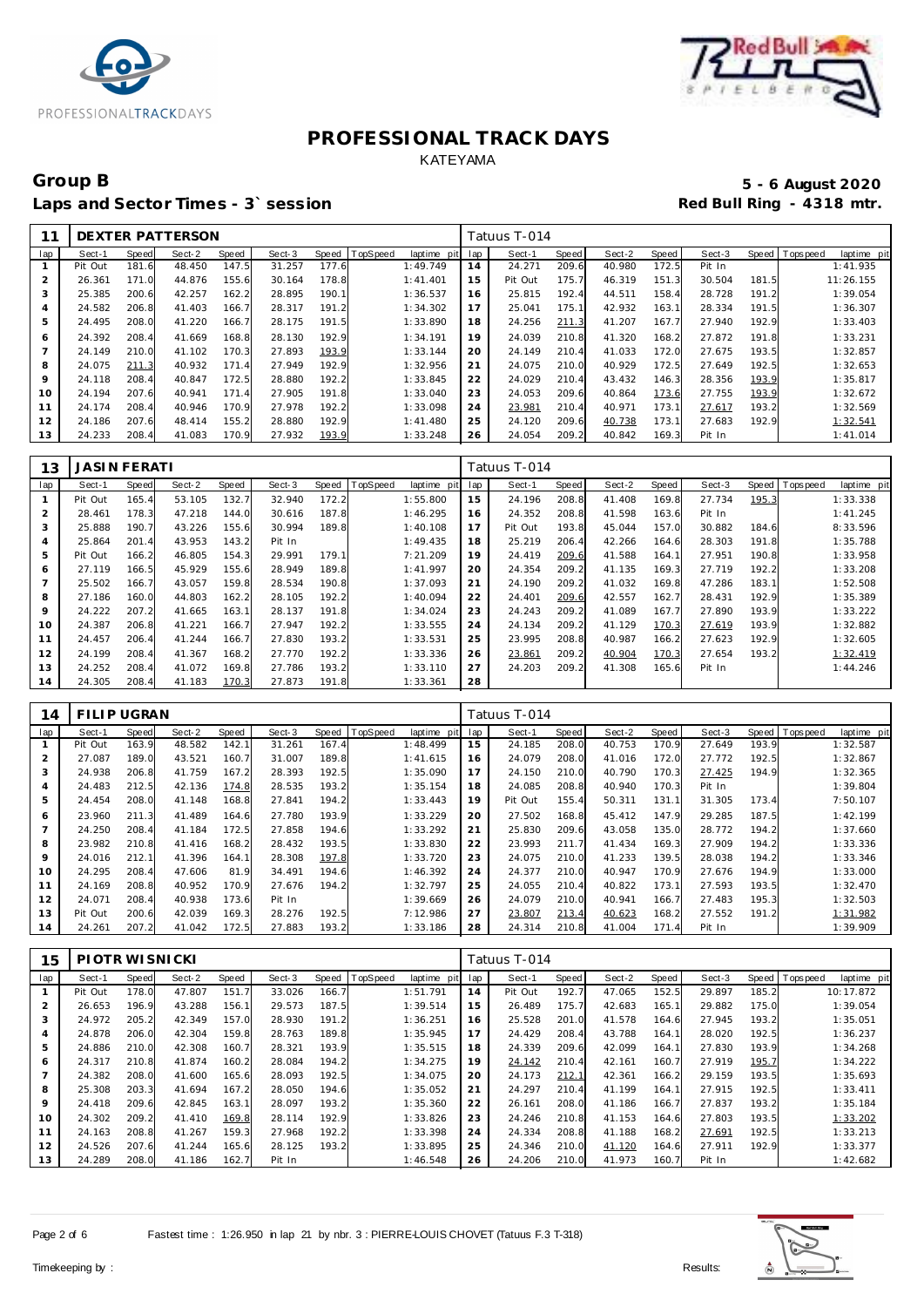



# Group B<br> **Example 2020**<br>
Laps and Sector Times - 3`session<br> **Example 2020**<br>
Red Bull Ring - 4318 mtr. Laps and Sector Times - 3<sup>\*</sup> session

|     |         |       | DEXTER PATTERSON |       |        |       |          |             |     | Tatuus T-014 |       |        |       |        |       |                         |  |
|-----|---------|-------|------------------|-------|--------|-------|----------|-------------|-----|--------------|-------|--------|-------|--------|-------|-------------------------|--|
| lap | Sect-1  | Speed | Sect-2           | Speed | Sect-3 | Speed | TopSpeed | laptime pit | lap | Sect-1       | Speed | Sect-2 | Speed | Sect-3 | Speed | Topspeed<br>laptime pit |  |
|     | Pit Out | 181.6 | 48.450           | 147.5 | 31.257 | 177.6 |          | 1:49.749    | 14  | 24.271       | 209.6 | 40.980 | 172.5 | Pit In |       | 1:41.935                |  |
| 2   | 26.361  | 171.0 | 44.876           | 155.6 | 30.164 | 178.8 |          | 1: 41.401   | 15  | Pit Out      | 175.7 | 46.319 | 151.3 | 30.504 | 181.5 | 11:26.155               |  |
| 3   | 25.385  | 200.6 | 42.257           | 162.2 | 28.895 | 190.7 |          | 1:36.537    | 16  | 25.815       | 192.4 | 44.511 | 158.4 | 28.728 | 191.2 | 1:39.054                |  |
| 4   | 24.582  | 206.8 | 41.403           | 166.7 | 28.317 | 191.2 |          | 1:34.302    | 17  | 25.041       | 175.1 | 42.932 | 163.1 | 28.334 | 191.5 | 1:36.307                |  |
| 5   | 24.495  | 208.0 | 41.220           | 166.7 | 28.175 | 191.5 |          | 1:33.890    | 18  | 24.256       | 211.3 | 41.207 | 167.7 | 27.940 | 192.9 | 1:33.403                |  |
| 6   | 24.392  | 208.4 | 41.669           | 168.8 | 28.130 | 192.9 |          | 1:34.191    | 19  | 24.039       | 210.8 | 41.320 | 168.2 | 27.872 | 191.8 | 1:33.231                |  |
|     | 24.149  | 210.0 | 41.102           | 170.3 | 27.893 | 193.9 |          | 1:33.144    | 20  | 24.149       | 210.4 | 41.033 | 172.0 | 27.675 | 193.5 | 1:32.857                |  |
| 8   | 24.075  | 211.3 | 40.932           | 171.4 | 27.949 | 192.9 |          | 1:32.956    | 21  | 24.075       | 210.0 | 40.929 | 172.5 | 27.649 | 192.5 | 1:32.653                |  |
| 9   | 24.118  | 208.4 | 40.847           | 172.5 | 28.880 | 192.2 |          | 1:33.845    | 22  | 24.029       | 210.4 | 43.432 | 146.3 | 28.356 | 193.9 | 1:35.817                |  |
| 10  | 24.194  | 207.6 | 40.941           | 171.4 | 27.905 | 191.8 |          | 1:33.040    | 23  | 24.053       | 209.6 | 40.864 | 173.6 | 27.755 | 193.9 | 1:32.672                |  |
| 11  | 24.174  | 208.4 | 40.946           | 170.9 | 27.978 | 192.2 |          | 1:33.098    | 24  | 23.981       | 210.4 | 40.971 | 173.1 | 27.617 | 193.2 | 1:32.569                |  |
| 12  | 24.186  | 207.6 | 48.414           | 155.2 | 28,880 | 192.9 |          | 1:41.480    | 25  | 24.120       | 209.6 | 40.738 | 173.1 | 27.683 | 192.9 | 1:32.541                |  |
| 13  | 24.233  | 208.4 | 41.083           | 170.9 | 27.932 | 193.9 |          | 1:33.248    | 26  | 24.054       | 209.2 | 40.842 | 169.3 | Pit In |       | 1:41.014                |  |

| 13  | <b>JASIN FERATI</b> |       |        |       |        |       |                |             |     | Tatuus T-014 |       |        |       |        |       |                 |             |
|-----|---------------------|-------|--------|-------|--------|-------|----------------|-------------|-----|--------------|-------|--------|-------|--------|-------|-----------------|-------------|
| lap | Sect-1              | Speed | Sect-2 | Speed | Sect-3 |       | Speed TopSpeed | laptime pit | lap | Sect-1       | Speed | Sect-2 | Speed | Sect-3 |       | Speed Tops peed | laptime pit |
|     | Pit Out             | 165.4 | 53.105 | 132.7 | 32.940 | 172.2 |                | 1:55.800    | 15  | 24.196       | 208.8 | 41.408 | 169.8 | 27.734 | 195.3 |                 | 1:33.338    |
| 2   | 28.461              | 178.3 | 47.218 | 144.0 | 30.616 | 187.8 |                | 1:46.295    | 16  | 24.352       | 208.8 | 41.598 | 163.6 | Pit In |       |                 | 1:41.245    |
| 3   | 25.888              | 190.7 | 43.226 | 155.6 | 30.994 | 189.8 |                | 1:40.108    | 17  | Pit Out      | 193.8 | 45.044 | 157.0 | 30.882 | 184.6 |                 | 8:33.596    |
| 4   | 25.864              | 201.4 | 43.953 | 143.2 | Pit In |       |                | 1:49.435    | 18  | 25.219       | 206.4 | 42.266 | 164.6 | 28.303 | 191.8 |                 | 1:35.788    |
| 5   | Pit Out             | 166.2 | 46.805 | 154.3 | 29.991 | 179.1 |                | 7:21.209    | 19  | 24.419       | 209.6 | 41.588 | 164.1 | 27.951 | 190.8 |                 | 1:33.958    |
| 6   | 27.119              | 166.5 | 45.929 | 155.6 | 28.949 | 189.8 |                | 1:41.997    | 20  | 24.354       | 209.2 | 41.135 | 169.3 | 27.719 | 192.2 |                 | 1:33.208    |
|     | 25.502              | 166.7 | 43.057 | 159.8 | 28.534 | 190.8 |                | 1:37.093    | 21  | 24.190       | 209.2 | 41.032 | 169.8 | 47.286 | 183.1 |                 | 1:52.508    |
| 8   | 27.186              | 160.0 | 44.803 | 162.2 | 28.105 | 192.2 |                | 1:40.094    | 22  | 24.401       | 209.6 | 42.557 | 162.7 | 28.431 | 192.9 |                 | 1:35.389    |
| 9   | 24.222              | 207.2 | 41.665 | 163.1 | 28.137 | 191.8 |                | 1:34.024    | 23  | 24.243       | 209.2 | 41.089 | 167.7 | 27.890 | 193.9 |                 | 1:33.222    |
| 10  | 24.387              | 206.8 | 41.221 | 166.7 | 27.947 | 192.2 |                | 1:33.555    | 24  | 24.134       | 209.2 | 41.129 | 170.3 | 27.619 | 193.9 |                 | 1:32.882    |
| 11  | 24.457              | 206.4 | 41.244 | 166.7 | 27.830 | 193.2 |                | 1:33.531    | 25  | 23.995       | 208.8 | 40.987 | 166.2 | 27.623 | 192.9 |                 | 1:32.605    |
| 12  | 24.199              | 208.4 | 41.367 | 168.2 | 27.770 | 192.2 |                | 1:33.336    | 26  | 23.861       | 209.2 | 40.904 | 170.3 | 27.654 | 193.2 |                 | 1:32.419    |
| 13  | 24.252              | 208.4 | 41.072 | 169.8 | 27.786 | 193.2 |                | 1:33.110    | 27  | 24.203       | 209.2 | 41.308 | 165.6 | Pit In |       |                 | 1:44.246    |
| 14  | 24.305              | 208.4 | 41.183 | 170.3 | 27.873 | 191.8 |                | 1:33.361    | 28  |              |       |        |       |        |       |                 |             |

| 14             | FILIP UGRAN |              |        |       |        |       |          |             |     | Tatuus T-014 |       |        |       |        |       |                |             |
|----------------|-------------|--------------|--------|-------|--------|-------|----------|-------------|-----|--------------|-------|--------|-------|--------|-------|----------------|-------------|
| lap            | Sect-1      | <b>Speed</b> | Sect-2 | Speed | Sect-3 | Speed | TopSpeed | laptime pit | lap | Sect-1       | Speed | Sect-2 | Speed | Sect-3 |       | Speed Topspeed | laptime pit |
|                | Pit Out     | 163.9        | 48.582 | 142.1 | 31.261 | 167.4 |          | 1:48.499    | 15  | 24.185       | 208.0 | 40.753 | 170.9 | 27.649 | 193.9 |                | 1:32.587    |
| $\overline{2}$ | 27.087      | 189.0        | 43.521 | 160.7 | 31.007 | 189.8 |          | 1:41.615    | 16  | 24.079       | 208.0 | 41.016 | 172.0 | 27.772 | 192.5 |                | 1:32.867    |
| 3              | 24.938      | 206.8        | 41.759 | 167.2 | 28.393 | 192.5 |          | 1:35.090    | 17  | 24.150       | 210.0 | 40.790 | 170.3 | 27.425 | 194.9 |                | 1:32.365    |
| $\overline{4}$ | 24.483      | 212.5        | 42.136 | 174.8 | 28.535 | 193.2 |          | 1:35.154    | 18  | 24.085       | 208.8 | 40.940 | 170.3 | Pit In |       |                | 1:39.804    |
| 5              | 24.454      | 208.0        | 41.148 | 168.8 | 27.841 | 194.2 |          | 1:33.443    | 19  | Pit Out      | 155.4 | 50.311 | 131.1 | 31.305 | 173.4 |                | 7:50.107    |
| 6              | 23.960      | 211.3        | 41.489 | 164.6 | 27.780 | 193.9 |          | 1:33.229    | 20  | 27.502       | 168.8 | 45.412 | 147.9 | 29.285 | 187.5 |                | 1:42.199    |
|                | 24.250      | 208.4        | 41.184 | 172.5 | 27.858 | 194.6 |          | 1:33.292    | 21  | 25.830       | 209.6 | 43.058 | 135.0 | 28.772 | 194.2 |                | 1:37.660    |
| 8              | 23.982      | 210.8        | 41.416 | 168.2 | 28.432 | 193.5 |          | 1:33.830    | 22  | 23.993       | 211.7 | 41.434 | 169.3 | 27.909 | 194.2 |                | 1:33.336    |
| $\circ$        | 24.016      | 212.1        | 41.396 | 164.1 | 28.308 | 197.8 |          | 1:33.720    | 23  | 24.075       | 210.0 | 41.233 | 139.5 | 28.038 | 194.2 |                | 1:33.346    |
| 10             | 24.295      | 208.4        | 47.606 | 81.9  | 34.491 | 194.6 |          | 1:46.392    | 24  | 24.377       | 210.0 | 40.947 | 170.9 | 27.676 | 194.9 |                | 1:33.000    |
| 11             | 24.169      | 208.8        | 40.952 | 170.9 | 27.676 | 194.2 |          | 1:32.797    | 25  | 24.055       | 210.4 | 40.822 | 173.1 | 27.593 | 193.5 |                | 1:32.470    |
| 12             | 24.071      | 208.4        | 40.938 | 173.6 | Pit In |       |          | 1:39.669    | 26  | 24.079       | 210.0 | 40.941 | 166.7 | 27.483 | 195.3 |                | 1:32.503    |
| 13             | Pit Out     | 200.6        | 42.039 | 169.3 | 28.276 | 192.5 |          | 7:12.986    | 27  | 23.807       | 213.4 | 40.623 | 168.2 | 27.552 | 191.2 |                | 1:31.982    |
| 14             | 24.261      | 207.2        | 41.042 | 172.5 | 27.883 | 193.2 |          | 1:33.186    | 28  | 24.314       | 210.8 | 41.004 | 171.4 | Pit In |       |                | 1:39.909    |

| 15  | PIOTR WISNICKI |       |        |       |        |       |          |             |     | Tatuus T-014 |       |        |       |        |       |                            |
|-----|----------------|-------|--------|-------|--------|-------|----------|-------------|-----|--------------|-------|--------|-------|--------|-------|----------------------------|
| lap | Sect-1         | Speed | Sect-2 | Speed | Sect-3 | Speed | TopSpeed | laptime pit | lap | Sect-1       | Speed | Sect-2 | Speed | Sect-3 | Speed | T ops pee d<br>laptime pit |
|     | Pit Out        | 178.0 | 47.807 | 151.7 | 33.026 | 166.7 |          | 1:51.791    | 14  | Pit Out      | 192.7 | 47.065 | 152.5 | 29.897 | 185.2 | 10:17.872                  |
| 2   | 26.653         | 196.9 | 43.288 | 156.1 | 29.573 | 187.5 |          | 1:39.514    | 15  | 26.489       | 175.7 | 42.683 | 165.1 | 29.882 | 175.0 | 1:39.054                   |
| 3   | 24.972         | 205.2 | 42.349 | 157.0 | 28.930 | 191.2 |          | 1:36.251    | 16  | 25.528       | 201.0 | 41.578 | 164.6 | 27.945 | 193.2 | 1:35.051                   |
| 4   | 24.878         | 206.0 | 42.304 | 159.8 | 28.763 | 189.8 |          | 1:35.945    | 17  | 24.429       | 208.4 | 43.788 | 164.1 | 28.020 | 192.5 | 1:36.237                   |
| 5   | 24.886         | 210.0 | 42.308 | 160.7 | 28.321 | 193.9 |          | 1:35.515    | 18  | 24.339       | 209.6 | 42.099 | 164.1 | 27.830 | 193.9 | 1:34.268                   |
| 6   | 24.317         | 210.8 | 41.874 | 160.2 | 28.084 | 194.2 |          | 1:34.275    | 19  | 24.142       | 210.4 | 42.161 | 160.7 | 27.919 | 195.7 | 1:34.222                   |
|     | 24.382         | 208.0 | 41.600 | 165.6 | 28.093 | 192.5 |          | 1:34.075    | 20  | 24.173       | 212.1 | 42.361 | 166.2 | 29.159 | 193.5 | 1:35.693                   |
| 8   | 25.308         | 203.3 | 41.694 | 167.2 | 28.050 | 194.6 |          | 1:35.052    | 21  | 24.297       | 210.4 | 41.199 | 164.1 | 27.915 | 192.5 | 1:33.411                   |
| 9   | 24.418         | 209.6 | 42.845 | 163.1 | 28.097 | 193.2 |          | 1:35.360    | 22  | 26.161       | 208.0 | 41.186 | 166.7 | 27.837 | 193.2 | 1:35.184                   |
| 10  | 24.302         | 209.2 | 41.410 | 169.8 | 28.114 | 192.9 |          | 1:33.826    | 23  | 24.246       | 210.8 | 41.153 | 164.6 | 27.803 | 193.5 | 1:33.202                   |
| 11  | 24.163         | 208.8 | 41.267 | 159.3 | 27.968 | 192.2 |          | 1:33.398    | 24  | 24.334       | 208.8 | 41.188 | 168.2 | 27.691 | 192.5 | 1:33.213                   |
| 12  | 24.526         | 207.6 | 41.244 | 165.6 | 28.125 | 193.2 |          | 1:33.895    | 25  | 24.346       | 210.0 | 41.120 | 164.6 | 27.911 | 192.9 | 1:33.377                   |
| 13  | 24.289         | 208.0 | 41.186 | 162.7 | Pit In |       |          | 1:46.548    | 26  | 24.206       | 210.0 | 41.973 | 160.7 | Pit In |       | 1:42.682                   |

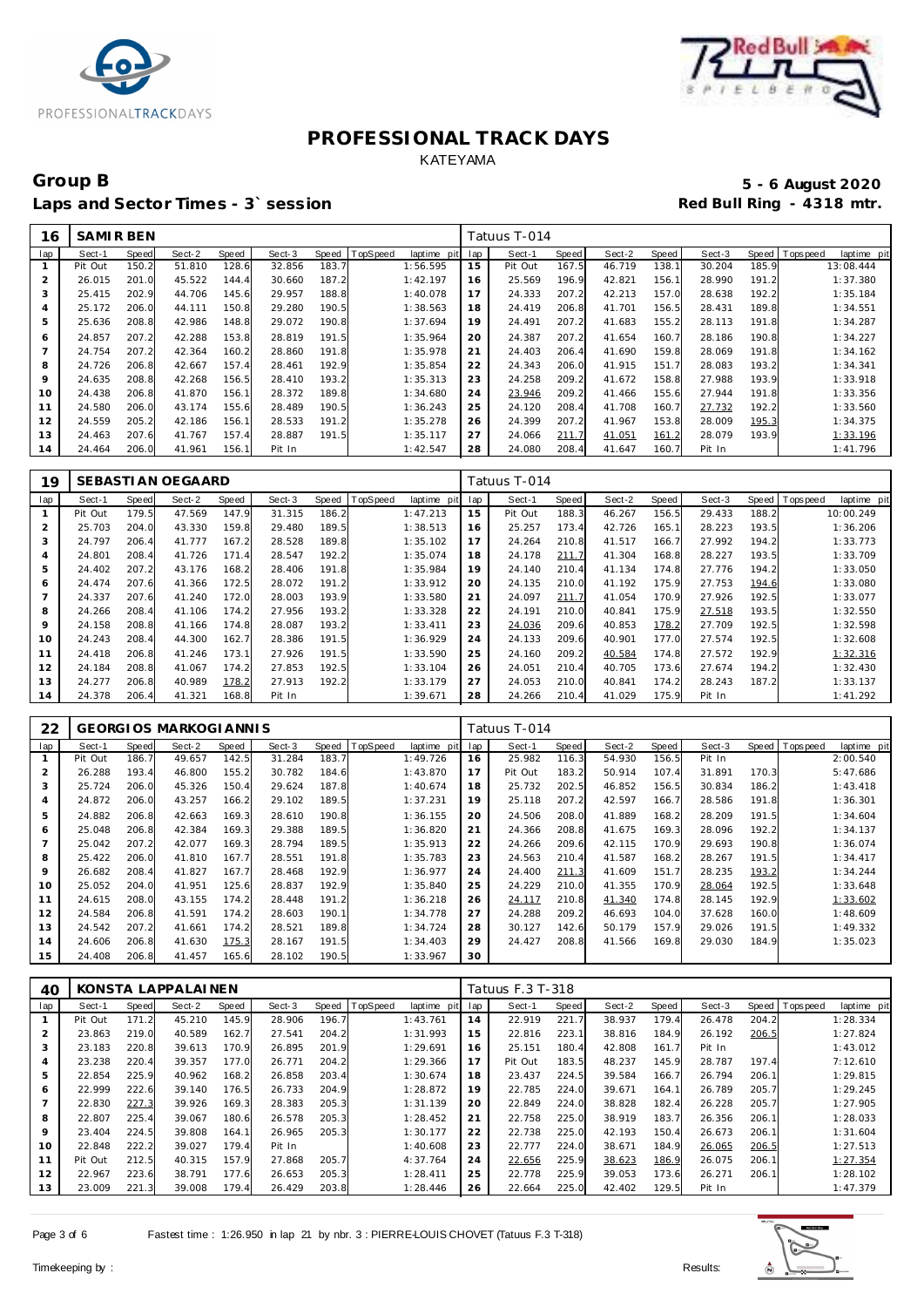



# Group B<br>
5 - 6 August 2020<br>
Laps and Sector Times - 3`session<br> **5 - 6 August 2020** Laps and Sector Times - 3<sup>\*</sup> session

| 16  | <b>SAMIRBEN</b> |       |        |       |        |       |          |             |     | Tatuus T-014 |       |        |       |        |       |                |             |
|-----|-----------------|-------|--------|-------|--------|-------|----------|-------------|-----|--------------|-------|--------|-------|--------|-------|----------------|-------------|
| lap | Sect-1          | Speed | Sect-2 | Speed | Sect-3 | Speed | TopSpeed | laptime pit | lap | Sect-1       | Speed | Sect-2 | Speed | Sect-3 |       | Speed Topspeed | laptime pit |
|     | Pit Out         | 150.2 | 51.810 | 128.6 | 32.856 | 183.7 |          | 1:56.595    | 15  | Pit Out      | 167.5 | 46.719 | 138.1 | 30.204 | 185.9 |                | 13:08.444   |
| 2   | 26.015          | 201.0 | 45.522 | 144.4 | 30.660 | 187.2 |          | 1:42.197    | 16  | 25.569       | 196.9 | 42.821 | 156.1 | 28.990 | 191.2 |                | 1:37.380    |
| 3   | 25.415          | 202.9 | 44.706 | 145.6 | 29.957 | 188.8 |          | 1:40.078    | 17  | 24.333       | 207.2 | 42.213 | 157.0 | 28.638 | 192.2 |                | 1:35.184    |
| 4   | 25.172          | 206.0 | 44.111 | 150.8 | 29.280 | 190.5 |          | 1:38.563    | 18  | 24.419       | 206.8 | 41.701 | 156.5 | 28.431 | 189.8 |                | 1:34.551    |
| 5   | 25.636          | 208.8 | 42.986 | 148.8 | 29.072 | 190.8 |          | 1:37.694    | 19  | 24.491       | 207.2 | 41.683 | 155.2 | 28.113 | 191.8 |                | 1:34.287    |
| 6   | 24.857          | 207.2 | 42.288 | 153.8 | 28.819 | 191.5 |          | 1:35.964    | 20  | 24.387       | 207.2 | 41.654 | 160.7 | 28.186 | 190.8 |                | 1:34.227    |
|     | 24.754          | 207.2 | 42.364 | 160.2 | 28.860 | 191.8 |          | 1:35.978    | 21  | 24.403       | 206.4 | 41.690 | 159.8 | 28.069 | 191.8 |                | 1:34.162    |
| 8   | 24.726          | 206.8 | 42.667 | 157.4 | 28.461 | 192.9 |          | 1:35.854    | 22  | 24.343       | 206.0 | 41.915 | 151.7 | 28.083 | 193.2 |                | 1:34.341    |
| 9   | 24.635          | 208.8 | 42.268 | 156.5 | 28.410 | 193.2 |          | 1:35.313    | 23  | 24.258       | 209.2 | 41.672 | 158.8 | 27.988 | 193.9 |                | 1:33.918    |
| 10  | 24.438          | 206.8 | 41.870 | 156.1 | 28.372 | 189.8 |          | 1:34.680    | 24  | 23.946       | 209.2 | 41.466 | 155.6 | 27.944 | 191.8 |                | 1:33.356    |
| 11  | 24.580          | 206.0 | 43.174 | 155.6 | 28.489 | 190.5 |          | 1:36.243    | 25  | 24.120       | 208.4 | 41.708 | 160.7 | 27.732 | 192.2 |                | 1:33.560    |
| 12  | 24.559          | 205.2 | 42.186 | 156.1 | 28.533 | 191.2 |          | 1:35.278    | 26  | 24.399       | 207.2 | 41.967 | 153.8 | 28.009 | 195.3 |                | 1:34.375    |
| 13  | 24.463          | 207.6 | 41.767 | 157.4 | 28.887 | 191.5 |          | 1:35.117    | 27  | 24.066       | 211.7 | 41.051 | 161.2 | 28.079 | 193.9 |                | 1:33.196    |
| 14  | 24.464          | 206.0 | 41.961 | 156.1 | Pit In |       |          | 1:42.547    | 28  | 24.080       | 208.4 | 41.647 | 160.7 | Pit In |       |                | 1:41.796    |

| 19  |         |       | SEBASTI AN OEGAARD |       |        |       |          |                |     | Tatuus T-014 |       |        |       |        |       |            |             |
|-----|---------|-------|--------------------|-------|--------|-------|----------|----------------|-----|--------------|-------|--------|-------|--------|-------|------------|-------------|
| lap | Sect-1  | Speed | Sect-2             | Speed | Sect-3 | Speed | TopSpeed | laptime<br>pit | lap | Sect-1       | Speed | Sect-2 | Speed | Sect-3 | Speed | T ops peed | laptime pit |
|     | Pit Out | 179.5 | 47.569             | 147.9 | 31.315 | 186.2 |          | 1:47.213       | 15  | Pit Out      | 188.3 | 46.267 | 156.5 | 29.433 | 188.2 |            | 10:00.249   |
| 2   | 25.703  | 204.0 | 43.330             | 159.8 | 29.480 | 189.5 |          | 1:38.513       | 16  | 25.257       | 173.4 | 42.726 | 165.1 | 28.223 | 193.5 |            | 1:36.206    |
| 3   | 24.797  | 206.4 | 41.777             | 167.2 | 28.528 | 189.8 |          | 1:35.102       | 17  | 24.264       | 210.8 | 41.517 | 166.7 | 27.992 | 194.2 |            | 1:33.773    |
| 4   | 24.801  | 208.4 | 41.726             | 171.4 | 28.547 | 192.2 |          | 1:35.074       | 18  | 24.178       | 211.7 | 41.304 | 168.8 | 28.227 | 193.5 |            | 1:33.709    |
| 5   | 24.402  | 207.2 | 43.176             | 168.2 | 28.406 | 191.8 |          | 1:35.984       | 19  | 24.140       | 210.4 | 41.134 | 174.8 | 27.776 | 194.2 |            | 1:33.050    |
| 6   | 24.474  | 207.6 | 41.366             | 172.5 | 28.072 | 191.2 |          | 1:33.912       | 20  | 24.135       | 210.0 | 41.192 | 175.9 | 27.753 | 194.6 |            | 1:33.080    |
|     | 24.337  | 207.6 | 41.240             | 172.0 | 28.003 | 193.9 |          | 1:33.580       | 21  | 24.097       | 211.7 | 41.054 | 170.9 | 27.926 | 192.5 |            | 1:33.077    |
| 8   | 24.266  | 208.4 | 41.106             | 174.2 | 27.956 | 193.2 |          | 1:33.328       | 22  | 24.191       | 210.0 | 40.841 | 175.9 | 27.518 | 193.5 |            | 1:32.550    |
| 9   | 24.158  | 208.8 | 41.166             | 174.8 | 28.087 | 193.2 |          | 1:33.411       | 23  | 24.036       | 209.6 | 40.853 | 178.2 | 27.709 | 192.5 |            | 1:32.598    |
| 10  | 24.243  | 208.4 | 44.300             | 162.7 | 28.386 | 191.5 |          | 1:36.929       | 24  | 24.133       | 209.6 | 40.901 | 177.0 | 27.574 | 192.5 |            | 1:32.608    |
| 11  | 24.418  | 206.8 | 41.246             | 173.1 | 27.926 | 191.5 |          | 1:33.590       | 25  | 24.160       | 209.2 | 40.584 | 174.8 | 27.572 | 192.9 |            | 1:32.316    |
| 12  | 24.184  | 208.8 | 41.067             | 174.2 | 27.853 | 192.5 |          | 1:33.104       | 26  | 24.051       | 210.4 | 40.705 | 173.6 | 27.674 | 194.2 |            | 1:32.430    |
| 13  | 24.277  | 206.8 | 40.989             | 178.2 | 27.913 | 192.2 |          | 1:33.179       | 27  | 24.053       | 210.0 | 40.841 | 174.2 | 28.243 | 187.2 |            | 1:33.137    |
| 14  | 24.378  | 206.4 | 41.321             | 168.8 | Pit In |       |          | 1:39.671       | 28  | 24.266       | 210.4 | 41.029 | 175.9 | Pit In |       |            | 1:41.292    |

| 22             |         |       | <b>GEORGIOS MARKOGIANNIS</b> |       |        |       |          |             |     | Tatuus T-014 |              |        |       |        |       |                 |             |
|----------------|---------|-------|------------------------------|-------|--------|-------|----------|-------------|-----|--------------|--------------|--------|-------|--------|-------|-----------------|-------------|
| lap            | Sect-1  | Speed | Sect-2                       | Speed | Sect-3 | Speed | TopSpeed | laptime pit | lap | Sect-1       | <b>Speed</b> | Sect-2 | Speed | Sect-3 |       | Speed Tops peed | laptime pit |
|                | Pit Out | 186.7 | 49.657                       | 142.5 | 31.284 | 183.7 |          | 1:49.726    | 16  | 25.982       | 116.3        | 54.930 | 156.5 | Pit In |       |                 | 2:00.540    |
| $\overline{2}$ | 26.288  | 193.4 | 46.800                       | 155.2 | 30.782 | 184.6 |          | 1:43.870    | 17  | Pit Out      | 183.2        | 50.914 | 107.4 | 31.891 | 170.3 |                 | 5:47.686    |
| 3              | 25.724  | 206.0 | 45.326                       | 150.4 | 29.624 | 187.8 |          | 1:40.674    | 18  | 25.732       | 202.5        | 46.852 | 156.5 | 30.834 | 186.2 |                 | 1:43.418    |
| $\overline{A}$ | 24.872  | 206.0 | 43.257                       | 166.2 | 29.102 | 189.5 |          | 1:37.231    | 19  | 25.118       | 207.2        | 42.597 | 166.7 | 28.586 | 191.8 |                 | 1:36.301    |
| 5              | 24.882  | 206.8 | 42.663                       | 169.3 | 28.610 | 190.8 |          | 1:36.155    | 20  | 24.506       | 208.0        | 41.889 | 168.2 | 28.209 | 191.5 |                 | 1:34.604    |
| 6              | 25.048  | 206.8 | 42.384                       | 169.3 | 29.388 | 189.5 |          | 1:36.820    | 21  | 24.366       | 208.8        | 41.675 | 169.3 | 28.096 | 192.2 |                 | 1:34.137    |
|                | 25.042  | 207.2 | 42.077                       | 169.3 | 28.794 | 189.5 |          | 1:35.913    | 22  | 24.266       | 209.6        | 42.115 | 170.9 | 29.693 | 190.8 |                 | 1:36.074    |
| 8              | 25.422  | 206.0 | 41.810                       | 167.7 | 28.551 | 191.8 |          | 1:35.783    | 23  | 24.563       | 210.4        | 41.587 | 168.2 | 28.267 | 191.5 |                 | 1:34.417    |
| 9              | 26.682  | 208.4 | 41.827                       | 167.7 | 28.468 | 192.9 |          | 1:36.977    | 24  | 24.400       | 211.3        | 41.609 | 151.7 | 28.235 | 193.2 |                 | 1:34.244    |
| 10             | 25.052  | 204.0 | 41.951                       | 125.6 | 28.837 | 192.9 |          | 1:35.840    | 25  | 24.229       | 210.0        | 41.355 | 170.9 | 28.064 | 192.5 |                 | 1:33.648    |
| 11             | 24.615  | 208.0 | 43.155                       | 174.2 | 28.448 | 191.2 |          | 1:36.218    | 26  | 24.117       | 210.8        | 41.340 | 174.8 | 28.145 | 192.9 |                 | 1:33.602    |
| 12             | 24.584  | 206.8 | 41.591                       | 174.2 | 28.603 | 190.1 |          | 1:34.778    | 27  | 24.288       | 209.2        | 46.693 | 104.0 | 37.628 | 160.0 |                 | 1:48.609    |
| 13             | 24.542  | 207.2 | 41.661                       | 174.2 | 28.521 | 189.8 |          | 1:34.724    | 28  | 30.127       | 142.6        | 50.179 | 157.9 | 29.026 | 191.5 |                 | 1:49.332    |
| 14             | 24.606  | 206.8 | 41.630                       | 175.3 | 28.167 | 191.5 |          | 1:34.403    | 29  | 24.427       | 208.8        | 41.566 | 169.8 | 29.030 | 184.9 |                 | 1:35.023    |
| 15             | 24.408  | 206.8 | 41.457                       | 165.6 | 28.102 | 190.5 |          | 1:33.967    | 30  |              |              |        |       |        |       |                 |             |

| 40             |         |              | KONSTA LAPPALAINEN |       |        |       |                 |             |     | Tatuus F.3 T-318 |       |        |       |        |       |          |             |
|----------------|---------|--------------|--------------------|-------|--------|-------|-----------------|-------------|-----|------------------|-------|--------|-------|--------|-------|----------|-------------|
| lap            | Sect-1  | <b>Speed</b> | Sect-2             | Speed | Sect-3 | Speed | <b>TopSpeed</b> | laptime pit | lap | Sect-1           | Speed | Sect-2 | Speed | Sect-3 | Speed | Topspeed | laptime pit |
|                | Pit Out | 171.2        | 45.210             | 145.9 | 28.906 | 196.7 |                 | 1:43.761    | 14  | 22.919           | 221.7 | 38.937 | 179.4 | 26.478 | 204.2 |          | 1:28.334    |
| $\overline{2}$ | 23.863  | 219.0        | 40.589             | 162.7 | 27.541 | 204.2 |                 | 1:31.993    | 15  | 22.816           | 223.1 | 38.816 | 184.9 | 26.192 | 206.5 |          | 1:27.824    |
| 3              | 23.183  | 220.8        | 39.613             | 170.9 | 26.895 | 201.9 |                 | 1:29.691    | 16  | 25.151           | 180.4 | 42.808 | 161.7 | Pit In |       |          | 1:43.012    |
| $\overline{4}$ | 23.238  | 220.4        | 39.357             | 177.0 | 26.771 | 204.2 |                 | 1:29.366    | 17  | Pit Out          | 183.5 | 48.237 | 145.9 | 28.787 | 197.4 |          | 7:12.610    |
| 5              | 22.854  | 225.9        | 40.962             | 168.2 | 26.858 | 203.4 |                 | 1:30.674    | 18  | 23.437           | 224.5 | 39.584 | 166.7 | 26.794 | 206.1 |          | 1:29.815    |
| 6              | 22.999  | 222.6        | 39.140             | 176.5 | 26.733 | 204.9 |                 | 1:28.872    | 19  | 22.785           | 224.0 | 39.671 | 164.1 | 26.789 | 205.7 |          | 1:29.245    |
|                | 22.830  | 227.3        | 39.926             | 169.3 | 28.383 | 205.3 |                 | 1:31.139    | 20  | 22.849           | 224.0 | 38.828 | 182.4 | 26.228 | 205.7 |          | 1:27.905    |
| 8              | 22.807  | 225.4        | 39.067             | 180.6 | 26.578 | 205.3 |                 | 1:28.452    | 21  | 22.758           | 225.0 | 38.919 | 183.7 | 26.356 | 206.1 |          | 1:28.033    |
| 9              | 23.404  | 224.5        | 39.808             | 164.1 | 26.965 | 205.3 |                 | 1:30.177    | 22  | 22.738           | 225.0 | 42.193 | 150.4 | 26.673 | 206.1 |          | 1:31.604    |
| 10             | 22.848  | 222.2        | 39.027             | 179.4 | Pit In |       |                 | 1:40.608    | 23  | 22.777           | 224.0 | 38.671 | 184.9 | 26.065 | 206.5 |          | 1:27.513    |
| 11             | Pit Out | 212.5        | 40.315             | 157.9 | 27.868 | 205.7 |                 | 4:37.764    | 24  | 22.656           | 225.9 | 38.623 | 186.9 | 26.075 | 206.1 |          | 1:27.354    |
| 12             | 22.967  | 223.6        | 38.791             | 177.6 | 26.653 | 205.3 |                 | 1:28.411    | 25  | 22.778           | 225.9 | 39.053 | 173.6 | 26.271 | 206.1 |          | 1:28.102    |
| 13             | 23.009  | 221.3        | 39.008             | 179.4 | 26.429 | 203.8 |                 | 1:28.446    | 26  | 22.664           | 225.0 | 42.402 | 129.5 | Pit In |       |          | 1:47.379    |

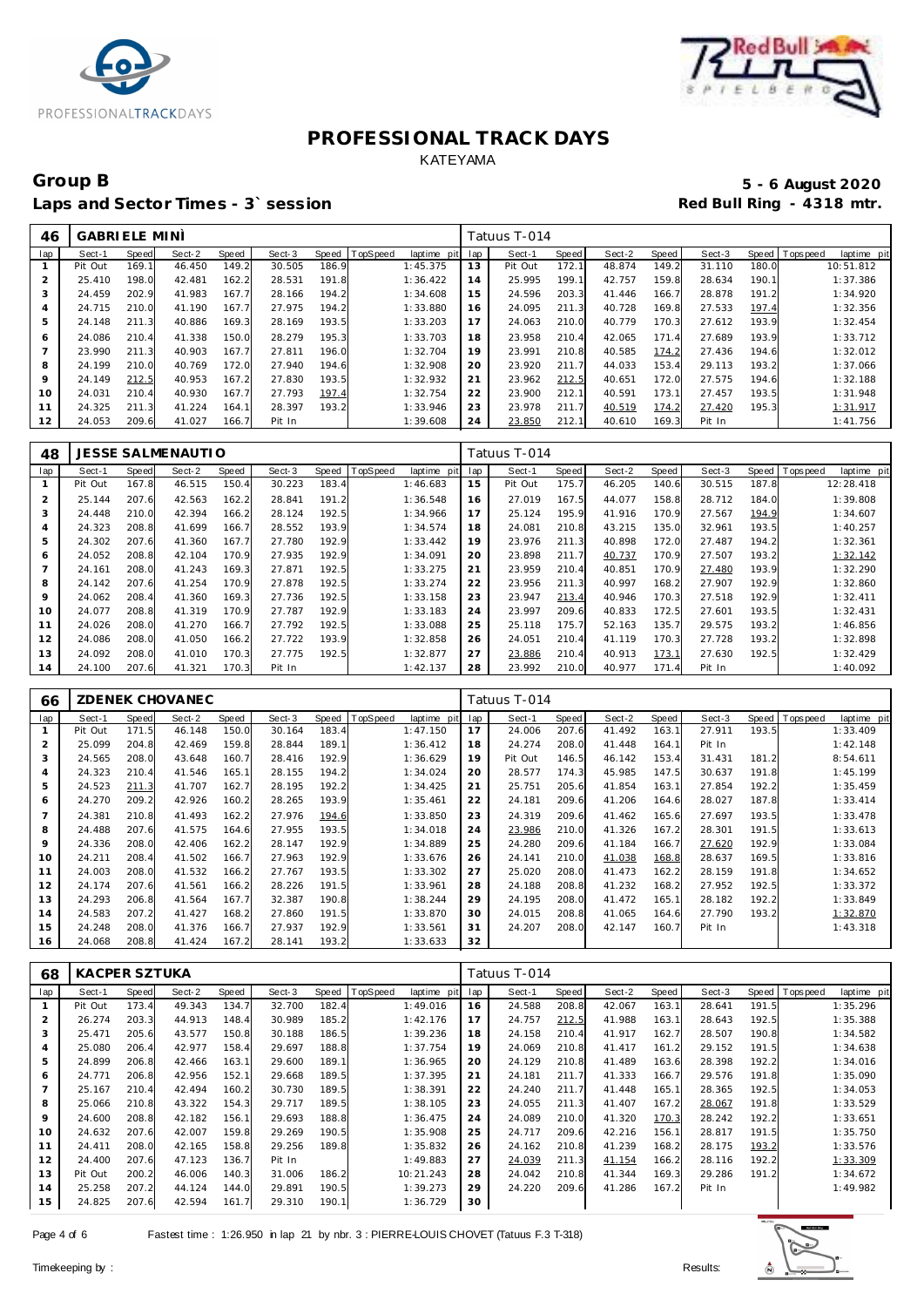



# Group B<br> **Example 2020**<br>
Laps and Sector Times - 3`session<br> **Example 2020**<br>
Red Bull Ring - 4318 mtr. Laps and Sector Times - 3<sup>\*</sup> session

| 46  | <b>GABRIELE MINI</b> |       |        |       |        |       |          |             |     | Tatuus T-014 |       |        |       |        |       |                 |             |
|-----|----------------------|-------|--------|-------|--------|-------|----------|-------------|-----|--------------|-------|--------|-------|--------|-------|-----------------|-------------|
| lap | Sect-1               | Speed | Sect-2 | Speed | Sect-3 | Speed | TopSpeed | laptime pit | lap | Sect-1       | Speed | Sect-2 | Speed | Sect-3 |       | Speed Tops peed | laptime pit |
|     | Pit Out              | 169.1 | 46.450 | 149.2 | 30.505 | 186.9 |          | 1:45.375    | 13  | Pit Out      | 172.1 | 48.874 | 149.2 | 31.110 | 180.0 |                 | 10:51.812   |
| ∠   | 25.410               | 198.0 | 42.481 | 162.2 | 28.531 | 191.8 |          | 1:36.422    | 14  | 25.995       | 199.1 | 42.757 | 159.8 | 28.634 | 190.1 |                 | 1:37.386    |
| 3   | 24.459               | 202.9 | 41.983 | 167.7 | 28.166 | 194.2 |          | 1:34.608    | 15  | 24.596       | 203.3 | 41.446 | 166.7 | 28.878 | 191.2 |                 | 1:34.920    |
| 4   | 24.715               | 210.0 | 41.190 | 167.7 | 27.975 | 194.2 |          | 1:33.880    | 16  | 24.095       | 211.3 | 40.728 | 169.8 | 27.533 | 197.4 |                 | 1:32.356    |
| 5   | 24.148               | 211.3 | 40.886 | 169.3 | 28.169 | 193.5 |          | 1:33.203    | 17  | 24.063       | 210.0 | 40.779 | 170.3 | 27.612 | 193.9 |                 | 1:32.454    |
| 6   | 24.086               | 210.4 | 41.338 | 150.0 | 28.279 | 195.3 |          | 1:33.703    | 18  | 23.958       | 210.4 | 42.065 | 171.4 | 27.689 | 193.9 |                 | 1:33.712    |
|     | 23.990               | 211.3 | 40.903 | 167.7 | 27.811 | 196.0 |          | 1:32.704    | 19  | 23.991       | 210.8 | 40.585 | 174.2 | 27.436 | 194.6 |                 | 1:32.012    |
| 8   | 24.199               | 210.0 | 40.769 | 172.0 | 27.940 | 194.6 |          | 1:32.908    | 20  | 23.920       | 211.7 | 44.033 | 153.4 | 29.113 | 193.2 |                 | 1:37.066    |
| 9   | 24.149               | 212.5 | 40.953 | 167.2 | 27.830 | 193.5 |          | 1:32.932    | 21  | 23.962       | 212.5 | 40.651 | 172.0 | 27.575 | 194.6 |                 | 1:32.188    |
| 10  | 24.031               | 210.4 | 40.930 | 167.7 | 27.793 | 197.4 |          | 1:32.754    | 22  | 23.900       | 212.1 | 40.591 | 173.1 | 27.457 | 193.5 |                 | 1:31.948    |
| 11  | 24.325               | 211.3 | 41.224 | 164.1 | 28.397 | 193.2 |          | 1:33.946    | 23  | 23.978       | 211.7 | 40.519 | 174.2 | 27.420 | 195.3 |                 | 1:31.917    |
| 12  | 24.053               | 209.6 | 41.027 | 166.7 | Pit In |       |          | 1:39.608    | 24  | 23.850       | 212.1 | 40.610 | 169.3 | Pit In |       |                 | 1:41.756    |

| 48             |         |       | <b>JESSE SALMENAUTIO</b> |       |        |       |          |                 |     | Tatuus T-014 |       |        |       |        |       |                         |
|----------------|---------|-------|--------------------------|-------|--------|-------|----------|-----------------|-----|--------------|-------|--------|-------|--------|-------|-------------------------|
| lap            | Sect-1  | Speed | Sect-2                   | Speed | Sect-3 | Speed | TopSpeed | laptime<br>pitl | lap | Sect-1       | Speed | Sect-2 | Speed | Sect-3 | Speed | Topspeed<br>laptime pit |
|                | Pit Out | 167.8 | 46.515                   | 150.4 | 30.223 | 183.4 |          | 1:46.683        | 15  | Pit Out      | 175.7 | 46.205 | 140.6 | 30.515 | 187.8 | 12:28.418               |
| $\overline{2}$ | 25.144  | 207.6 | 42.563                   | 162.2 | 28.841 | 191.2 |          | 1:36.548        | 16  | 27.019       | 167.5 | 44.077 | 158.8 | 28.712 | 184.0 | 1:39.808                |
| 3              | 24.448  | 210.0 | 42.394                   | 166.2 | 28.124 | 192.5 |          | 1:34.966        | 17  | 25.124       | 195.9 | 41.916 | 170.9 | 27.567 | 194.9 | 1:34.607                |
| 4              | 24.323  | 208.8 | 41.699                   | 166.7 | 28.552 | 193.9 |          | 1:34.574        | 18  | 24.081       | 210.8 | 43.215 | 135.0 | 32.961 | 193.5 | 1:40.257                |
| 5              | 24.302  | 207.6 | 41.360                   | 167.7 | 27.780 | 192.9 |          | 1:33.442        | 19  | 23.976       | 211.3 | 40.898 | 172.0 | 27.487 | 194.2 | 1:32.361                |
| 6              | 24.052  | 208.8 | 42.104                   | 170.9 | 27.935 | 192.9 |          | 1:34.091        | 20  | 23.898       | 211.7 | 40.737 | 170.9 | 27.507 | 193.2 | 1:32.142                |
| $\overline{7}$ | 24.161  | 208.0 | 41.243                   | 169.3 | 27.871 | 192.5 |          | 1:33.275        | 21  | 23.959       | 210.4 | 40.851 | 170.9 | 27.480 | 193.9 | 1:32.290                |
| 8              | 24.142  | 207.6 | 41.254                   | 170.9 | 27.878 | 192.5 |          | 1:33.274        | 22  | 23.956       | 211.3 | 40.997 | 168.2 | 27.907 | 192.9 | 1:32.860                |
| 9              | 24.062  | 208.4 | 41.360                   | 169.3 | 27.736 | 192.5 |          | 1:33.158        | 23  | 23.947       | 213.4 | 40.946 | 170.3 | 27.518 | 192.9 | 1:32.411                |
| 10             | 24.077  | 208.8 | 41.319                   | 170.9 | 27.787 | 192.9 |          | 1:33.183        | 24  | 23.997       | 209.6 | 40.833 | 172.5 | 27.601 | 193.5 | 1:32.431                |
| 11             | 24.026  | 208.0 | 41.270                   | 166.7 | 27.792 | 192.5 |          | 1:33.088        | 25  | 25.118       | 175.7 | 52.163 | 135.7 | 29.575 | 193.2 | 1:46.856                |
| 12             | 24.086  | 208.0 | 41.050                   | 166.2 | 27.722 | 193.9 |          | 1:32.858        | 26  | 24.051       | 210.4 | 41.119 | 170.3 | 27.728 | 193.2 | 1:32.898                |
| 13             | 24.092  | 208.0 | 41.010                   | 170.3 | 27.775 | 192.5 |          | 1:32.877        | 27  | 23.886       | 210.4 | 40.913 | 173.1 | 27.630 | 192.5 | 1:32.429                |
| 14             | 24.100  | 207.6 | 41.321                   | 170.3 | Pit In |       |          | 1:42.137        | 28  | 23.992       | 210.0 | 40.977 | 171.4 | Pit In |       | 1:40.092                |

| 66             |         |       | ZDENEK CHOVANEC |       |        |       |                 |             |     | Tatuus T-014 |       |        |       |        |       |            |             |
|----------------|---------|-------|-----------------|-------|--------|-------|-----------------|-------------|-----|--------------|-------|--------|-------|--------|-------|------------|-------------|
| lap            | Sect-1  | Speed | Sect-2          | Speed | Sect-3 | Speed | <b>TopSpeed</b> | laptime pit | lap | Sect-1       | Speed | Sect-2 | Speed | Sect-3 | Speed | T ops peed | laptime pit |
|                | Pit Out | 171.5 | 46.148          | 150.0 | 30.164 | 183.4 |                 | 1:47.150    | 17  | 24.006       | 207.6 | 41.492 | 163.1 | 27.911 | 193.5 |            | 1:33.409    |
| $\overline{2}$ | 25.099  | 204.8 | 42.469          | 159.8 | 28.844 | 189.1 |                 | 1:36.412    | 18  | 24.274       | 208.0 | 41.448 | 164.1 | Pit In |       |            | 1:42.148    |
| 3              | 24.565  | 208.0 | 43.648          | 160.7 | 28.416 | 192.9 |                 | 1:36.629    | 19  | Pit Out      | 146.5 | 46.142 | 153.4 | 31.431 | 181.2 |            | 8:54.611    |
| $\overline{4}$ | 24.323  | 210.4 | 41.546          | 165.1 | 28.155 | 194.2 |                 | 1:34.024    | 20  | 28.577       | 174.3 | 45.985 | 147.5 | 30.637 | 191.8 |            | 1:45.199    |
| 5              | 24.523  | 211.3 | 41.707          | 162.7 | 28.195 | 192.2 |                 | 1:34.425    | 21  | 25.751       | 205.6 | 41.854 | 163.1 | 27.854 | 192.2 |            | 1:35.459    |
| 6              | 24.270  | 209.2 | 42.926          | 160.2 | 28.265 | 193.9 |                 | 1:35.461    | 22  | 24.181       | 209.6 | 41.206 | 164.6 | 28.027 | 187.8 |            | 1:33.414    |
|                | 24.381  | 210.8 | 41.493          | 162.2 | 27.976 | 194.6 |                 | 1:33.850    | 23  | 24.319       | 209.6 | 41.462 | 165.6 | 27.697 | 193.5 |            | 1:33.478    |
| 8              | 24.488  | 207.6 | 41.575          | 164.6 | 27.955 | 193.5 |                 | 1:34.018    | 24  | 23.986       | 210.0 | 41.326 | 167.2 | 28.301 | 191.5 |            | 1:33.613    |
| 9              | 24.336  | 208.0 | 42.406          | 162.2 | 28.147 | 192.9 |                 | 1:34.889    | 25  | 24.280       | 209.6 | 41.184 | 166.7 | 27.620 | 192.9 |            | 1:33.084    |
| 10             | 24.211  | 208.4 | 41.502          | 166.7 | 27.963 | 192.9 |                 | 1:33.676    | 26  | 24.141       | 210.0 | 41.038 | 168.8 | 28.637 | 169.5 |            | 1:33.816    |
| 11             | 24.003  | 208.0 | 41.532          | 166.2 | 27.767 | 193.5 |                 | 1:33.302    | 27  | 25.020       | 208.0 | 41.473 | 162.2 | 28.159 | 191.8 |            | 1:34.652    |
| 12             | 24.174  | 207.6 | 41.561          | 166.2 | 28.226 | 191.5 |                 | 1:33.961    | 28  | 24.188       | 208.8 | 41.232 | 168.2 | 27.952 | 192.5 |            | 1:33.372    |
| 13             | 24.293  | 206.8 | 41.564          | 167.7 | 32.387 | 190.8 |                 | 1:38.244    | 29  | 24.195       | 208.0 | 41.472 | 165.1 | 28.182 | 192.2 |            | 1:33.849    |
| 14             | 24.583  | 207.2 | 41.427          | 168.2 | 27.860 | 191.5 |                 | 1:33.870    | 30  | 24.015       | 208.8 | 41.065 | 164.6 | 27.790 | 193.2 |            | 1:32.870    |
| 15             | 24.248  | 208.0 | 41.376          | 166.7 | 27.937 | 192.9 |                 | 1:33.561    | 31  | 24.207       | 208.0 | 42.147 | 160.7 | Pit In |       |            | 1:43.318    |
| 16             | 24.068  | 208.8 | 41.424          | 167.2 | 28.141 | 193.2 |                 | 1:33.633    | 32  |              |       |        |       |        |       |            |             |

| 68             | <b>KACPER SZTUKA</b> |              |        |       |        |              |          |             |     | Tatuus T-014 |       |        |       |        |       |                 |             |
|----------------|----------------------|--------------|--------|-------|--------|--------------|----------|-------------|-----|--------------|-------|--------|-------|--------|-------|-----------------|-------------|
| lap            | Sect-1               | <b>Speed</b> | Sect-2 | Speed | Sect-3 | <b>Speed</b> | TopSpeed | laptime pit | lap | Sect-1       | Speed | Sect-2 | Speed | Sect-3 | Speed | <b>Topspeed</b> | laptime pit |
|                | Pit Out              | 173.4        | 49.343 | 134.7 | 32.700 | 182.4        |          | 1:49.016    | 16  | 24.588       | 208.8 | 42.067 | 163.1 | 28.641 | 191.5 |                 | 1:35.296    |
|                | 26.274               | 203.3        | 44.913 | 148.4 | 30.989 | 185.2        |          | 1:42.176    | 17  | 24.757       | 212.5 | 41.988 | 163.1 | 28.643 | 192.5 |                 | 1:35.388    |
| 3              | 25.471               | 205.6        | 43.577 | 150.8 | 30.188 | 186.5        |          | 1:39.236    | 18  | 24.158       | 210.4 | 41.917 | 162.7 | 28.507 | 190.8 |                 | 1:34.582    |
| $\overline{4}$ | 25.080               | 206.4        | 42.977 | 158.4 | 29.697 | 188.8        |          | 1:37.754    | 19  | 24.069       | 210.8 | 41.417 | 161.2 | 29.152 | 191.5 |                 | 1:34.638    |
| 5              | 24.899               | 206.8        | 42.466 | 163.1 | 29.600 | 189.1        |          | 1:36.965    | 20  | 24.129       | 210.8 | 41.489 | 163.6 | 28.398 | 192.2 |                 | 1:34.016    |
| 6              | 24.771               | 206.8        | 42.956 | 152.1 | 29.668 | 189.5        |          | 1:37.395    | 21  | 24.181       | 211.7 | 41.333 | 166.7 | 29.576 | 191.8 |                 | 1:35.090    |
|                | 25.167               | 210.4        | 42.494 | 160.2 | 30.730 | 189.5        |          | 1:38.391    | 22  | 24.240       | 211.7 | 41.448 | 165.1 | 28.365 | 192.5 |                 | 1:34.053    |
| 8              | 25.066               | 210.8        | 43.322 | 154.3 | 29.717 | 189.5        |          | 1:38.105    | 23  | 24.055       | 211.3 | 41.407 | 167.2 | 28.067 | 191.8 |                 | 1:33.529    |
| 9              | 24.600               | 208.8        | 42.182 | 156.1 | 29.693 | 188.8        |          | 1:36.475    | 24  | 24.089       | 210.0 | 41.320 | 170.3 | 28.242 | 192.2 |                 | 1:33.651    |
| 10             | 24.632               | 207.6        | 42.007 | 159.8 | 29.269 | 190.5        |          | 1:35.908    | 25  | 24.717       | 209.6 | 42.216 | 156.1 | 28.817 | 191.5 |                 | 1:35.750    |
| 11             | 24.411               | 208.0        | 42.165 | 158.8 | 29.256 | 189.8        |          | 1:35.832    | 26  | 24.162       | 210.8 | 41.239 | 168.2 | 28.175 | 193.2 |                 | 1:33.576    |
| 12             | 24.400               | 207.6        | 47.123 | 136.7 | Pit In |              |          | 1:49.883    | 27  | 24.039       | 211.3 | 41.154 | 166.2 | 28.116 | 192.2 |                 | 1:33.309    |
| 13             | Pit Out              | 200.2        | 46.006 | 140.3 | 31.006 | 186.2        |          | 10:21.243   | 28  | 24.042       | 210.8 | 41.344 | 169.3 | 29.286 | 191.2 |                 | 1:34.672    |
| 14             | 25.258               | 207.2        | 44.124 | 144.0 | 29.891 | 190.5        |          | 1:39.273    | 29  | 24.220       | 209.6 | 41.286 | 167.2 | Pit In |       |                 | 1:49.982    |
| 15             | 24.825               | 207.6        | 42.594 | 161.7 | 29.310 | 190.1        |          | 1:36.729    | 30  |              |       |        |       |        |       |                 |             |

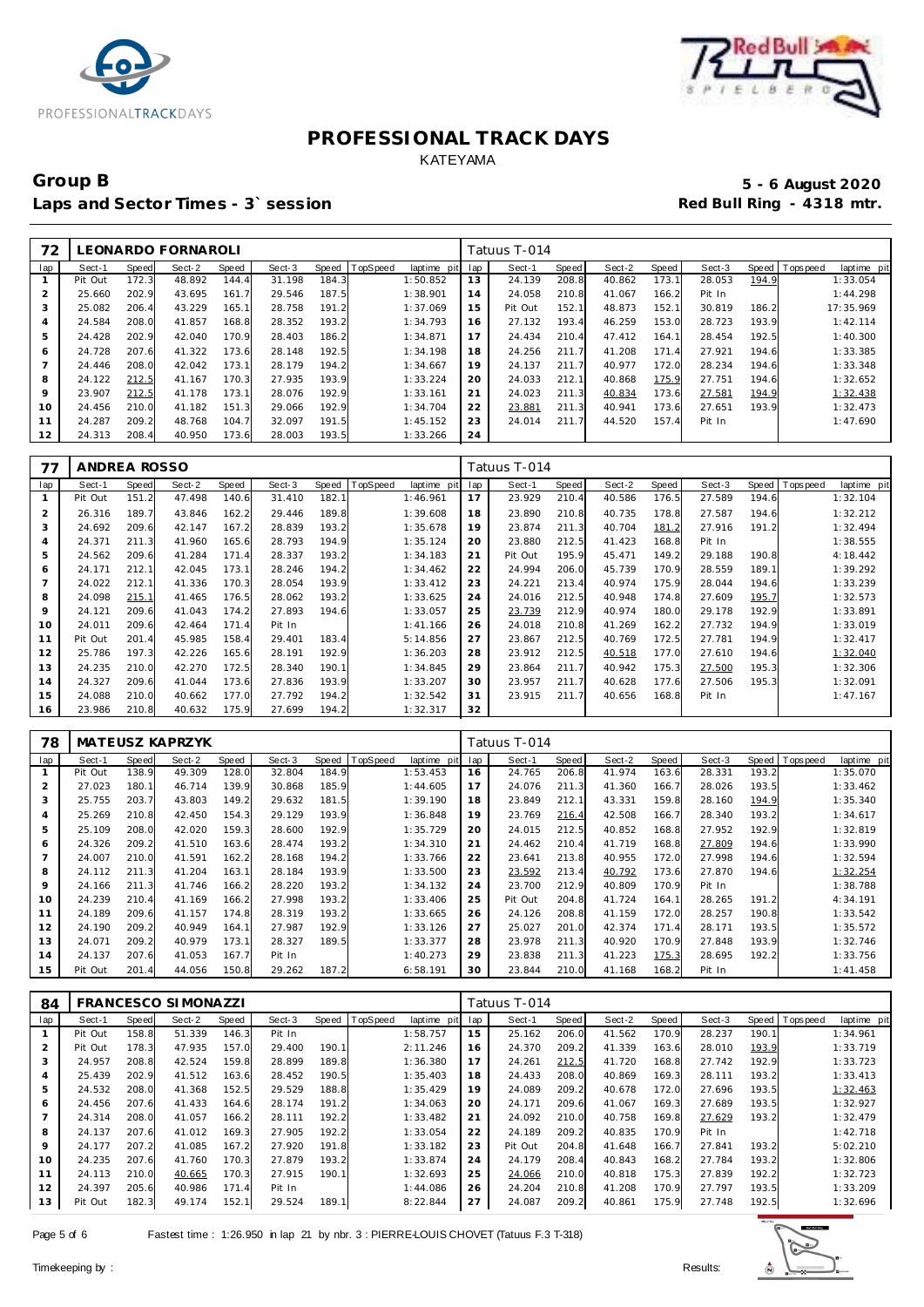



# Group B<br> **Example 2020**<br>
Laps and Sector Times - 3`session<br>
Laps and Sector Times - 3`session Laps and Sector Times - 3<sup>\*</sup> session

| 72             |         |       | LEONARDO FORNAROLI |       |        |       |                |             |     | Tatuus T-014 |       |        |       |        |       |                               |
|----------------|---------|-------|--------------------|-------|--------|-------|----------------|-------------|-----|--------------|-------|--------|-------|--------|-------|-------------------------------|
| lap            | Sect-1  | Speed | Sect-2             | Speed | Sect-3 |       | Speed TopSpeed | laptime pit | lap | Sect-1       | Speed | Sect-2 | Speed | Sect-3 |       | Speed Topspeed<br>laptime pit |
|                | Pit Out | 172.3 | 48.892             | 144.4 | 31.198 | 184.3 |                | 1:50.852    | 13  | 24.139       | 208.8 | 40.862 | 173.1 | 28.053 | 194.9 | 1:33.054                      |
| $\overline{2}$ | 25.660  | 202.9 | 43.695             | 161.7 | 29.546 | 187.5 |                | 1:38.901    | 14  | 24.058       | 210.8 | 41.067 | 166.2 | Pit In |       | 1:44.298                      |
| 3              | 25.082  | 206.4 | 43.229             | 165.1 | 28.758 | 191.2 |                | 1:37.069    | 15  | Pit Out      | 152.1 | 48.873 | 152.1 | 30.819 | 186.2 | 17:35.969                     |
| $\overline{4}$ | 24.584  | 208.0 | 41.857             | 168.8 | 28.352 | 193.2 |                | 1:34.793    | 16  | 27.132       | 193.4 | 46.259 | 153.0 | 28.723 | 193.9 | 1:42.114                      |
| 5              | 24.428  | 202.9 | 42.040             | 170.9 | 28.403 | 186.2 |                | 1:34.871    | 17  | 24.434       | 210.4 | 47.412 | 164.1 | 28.454 | 192.5 | 1:40.300                      |
| 6              | 24.728  | 207.6 | 41.322             | 173.6 | 28.148 | 192.5 |                | 1:34.198    | 18  | 24.256       | 211.7 | 41.208 | 171.4 | 27.921 | 194.6 | 1:33.385                      |
|                | 24.446  | 208.0 | 42.042             | 173.1 | 28.179 | 194.2 |                | 1:34.667    | 19  | 24.137       | 211.7 | 40.977 | 172.0 | 28.234 | 194.6 | 1:33.348                      |
| 8              | 24.122  | 212.5 | 41.167             | 170.3 | 27.935 | 193.9 |                | 1:33.224    | 20  | 24.033       | 212.1 | 40.868 | 175.9 | 27.751 | 194.6 | 1:32.652                      |
| 9              | 23.907  | 212.5 | 41.178             | 173.1 | 28.076 | 192.9 |                | 1:33.161    | 21  | 24.023       | 211.3 | 40.834 | 173.6 | 27.581 | 194.9 | 1:32.438                      |
| 10             | 24.456  | 210.0 | 41.182             | 151.3 | 29.066 | 192.9 |                | 1:34.704    | 22  | 23.881       | 211.3 | 40.941 | 173.6 | 27.651 | 193.9 | 1:32.473                      |
| 11             | 24.287  | 209.2 | 48.768             | 104.7 | 32.097 | 191.5 |                | 1:45.152    | 23  | 24.014       | 211.7 | 44.520 | 157.4 | Pit In |       | 1:47.690                      |
| 12             | 24.313  | 208.4 | 40.950             | 173.6 | 28.003 | 193.5 |                | 1:33.266    | 24  |              |       |        |       |        |       |                               |

| 77  | ANDREA ROSSO |       |        |       |        |       |          |             |     | Tatuus T-014 |       |        |       |        |       |                |             |
|-----|--------------|-------|--------|-------|--------|-------|----------|-------------|-----|--------------|-------|--------|-------|--------|-------|----------------|-------------|
| lap | Sect-1       | Speed | Sect-2 | Speed | Sect-3 | Speed | TopSpeed | laptime pit | lap | Sect-1       | Speed | Sect-2 | Speed | Sect-3 |       | Speed Topspeed | laptime pit |
|     | Pit Out      | 151.2 | 47.498 | 140.6 | 31.410 | 182.1 |          | 1:46.961    | 17  | 23.929       | 210.4 | 40.586 | 176.5 | 27.589 | 194.6 |                | 1:32.104    |
| 2   | 26.316       | 189.7 | 43.846 | 162.2 | 29.446 | 189.8 |          | 1:39.608    | 18  | 23.890       | 210.8 | 40.735 | 178.8 | 27.587 | 194.6 |                | 1:32.212    |
| 3   | 24.692       | 209.6 | 42.147 | 167.2 | 28.839 | 193.2 |          | 1:35.678    | 19  | 23.874       | 211.3 | 40.704 | 181.2 | 27.916 | 191.2 |                | 1:32.494    |
| 4   | 24.371       | 211.3 | 41.960 | 165.6 | 28.793 | 194.9 |          | 1:35.124    | 20  | 23.880       | 212.5 | 41.423 | 168.8 | Pit In |       |                | 1:38.555    |
| 5   | 24.562       | 209.6 | 41.284 | 171.4 | 28.337 | 193.2 |          | 1:34.183    | 21  | Pit Out      | 195.9 | 45.471 | 149.2 | 29.188 | 190.8 |                | 4:18.442    |
| 6   | 24.171       | 212.1 | 42.045 | 173.1 | 28.246 | 194.2 |          | 1:34.462    | 22  | 24.994       | 206.0 | 45.739 | 170.9 | 28.559 | 189.1 |                | 1:39.292    |
|     | 24.022       | 212.1 | 41.336 | 170.3 | 28.054 | 193.9 |          | 1:33.412    | 23  | 24.221       | 213.4 | 40.974 | 175.9 | 28.044 | 194.6 |                | 1:33.239    |
| 8   | 24.098       | 215.1 | 41.465 | 176.5 | 28.062 | 193.2 |          | 1:33.625    | 24  | 24.016       | 212.5 | 40.948 | 174.8 | 27.609 | 195.7 |                | 1:32.573    |
| 9   | 24.121       | 209.6 | 41.043 | 174.2 | 27.893 | 194.6 |          | 1:33.057    | 25  | 23.739       | 212.9 | 40.974 | 180.0 | 29.178 | 192.9 |                | 1:33.891    |
| 10  | 24.011       | 209.6 | 42.464 | 171.4 | Pit In |       |          | 1:41.166    | 26  | 24.018       | 210.8 | 41.269 | 162.2 | 27.732 | 194.9 |                | 1:33.019    |
| 11  | Pit Out      | 201.4 | 45.985 | 158.4 | 29.401 | 183.4 |          | 5:14.856    | 27  | 23.867       | 212.5 | 40.769 | 172.5 | 27.781 | 194.9 |                | 1:32.417    |
| 12  | 25.786       | 197.3 | 42.226 | 165.6 | 28.191 | 192.9 |          | 1:36.203    | 28  | 23.912       | 212.5 | 40.518 | 177.0 | 27.610 | 194.6 |                | 1:32.040    |
| 13  | 24.235       | 210.0 | 42.270 | 172.5 | 28.340 | 190.1 |          | 1:34.845    | 29  | 23.864       | 211.7 | 40.942 | 175.3 | 27.500 | 195.3 |                | 1:32.306    |
| 14  | 24.327       | 209.6 | 41.044 | 173.6 | 27.836 | 193.9 |          | 1:33.207    | 30  | 23.957       | 211.7 | 40.628 | 177.6 | 27.506 | 195.3 |                | 1:32.091    |
| 15  | 24.088       | 210.0 | 40.662 | 177.0 | 27.792 | 194.2 |          | 1:32.542    | 31  | 23.915       | 211.7 | 40.656 | 168.8 | Pit In |       |                | 1:47.167    |
| 16  | 23.986       | 210.8 | 40.632 | 175.9 | 27.699 | 194.2 |          | 1:32.317    | 32  |              |       |        |       |        |       |                |             |

| 78             |         |       | <b>MATEUSZ KAPRZYK</b> |       |        |       |          |             |     | Tatuus T-014 |       |        |       |        |       |                |             |
|----------------|---------|-------|------------------------|-------|--------|-------|----------|-------------|-----|--------------|-------|--------|-------|--------|-------|----------------|-------------|
| lap            | Sect-1  | Speed | Sect-2                 | Speed | Sect-3 | Speed | TopSpeed | laptime pit | lap | Sect-1       | Speed | Sect-2 | Speed | Sect-3 |       | Speed Topspeed | laptime pit |
|                | Pit Out | 138.9 | 49.309                 | 128.0 | 32.804 | 184.9 |          | 1:53.453    | 16  | 24.765       | 206.8 | 41.974 | 163.6 | 28.331 | 193.2 |                | 1:35.070    |
| $\overline{2}$ | 27.023  | 180.1 | 46.714                 | 139.9 | 30.868 | 185.9 |          | 1:44.605    | 17  | 24.076       | 211.3 | 41.360 | 166.7 | 28.026 | 193.5 |                | 1:33.462    |
| 3              | 25.755  | 203.7 | 43.803                 | 149.2 | 29.632 | 181.5 |          | 1:39.190    | 18  | 23.849       | 212.1 | 43.331 | 159.8 | 28.160 | 194.9 |                | 1:35.340    |
| 4              | 25.269  | 210.8 | 42.450                 | 154.3 | 29.129 | 193.9 |          | 1:36.848    | 19  | 23.769       | 216.4 | 42.508 | 166.7 | 28.340 | 193.2 |                | 1:34.617    |
| 5              | 25.109  | 208.0 | 42.020                 | 159.3 | 28.600 | 192.9 |          | 1:35.729    | 20  | 24.015       | 212.5 | 40.852 | 168.8 | 27.952 | 192.9 |                | 1:32.819    |
| O              | 24.326  | 209.2 | 41.510                 | 163.6 | 28.474 | 193.2 |          | 1:34.310    | 21  | 24.462       | 210.4 | 41.719 | 168.8 | 27.809 | 194.6 |                | 1:33.990    |
|                | 24.007  | 210.0 | 41.591                 | 162.2 | 28.168 | 194.2 |          | 1:33.766    | 22  | 23.641       | 213.8 | 40.955 | 172.0 | 27.998 | 194.6 |                | 1:32.594    |
| 8              | 24.112  | 211.3 | 41.204                 | 163.  | 28.184 | 193.9 |          | 1:33.500    | 23  | 23.592       | 213.4 | 40.792 | 173.6 | 27.870 | 194.6 |                | 1:32.254    |
| 9              | 24.166  | 211.3 | 41.746                 | 166.2 | 28.220 | 193.2 |          | 1:34.132    | 24  | 23.700       | 212.9 | 40.809 | 170.9 | Pit In |       |                | 1:38.788    |
| 10             | 24.239  | 210.4 | 41.169                 | 166.2 | 27.998 | 193.2 |          | 1:33.406    | 25  | Pit Out      | 204.8 | 41.724 | 164.1 | 28.265 | 191.2 |                | 4:34.191    |
| 11             | 24.189  | 209.6 | 41.157                 | 174.8 | 28.319 | 193.2 |          | 1:33.665    | 26  | 24.126       | 208.8 | 41.159 | 172.0 | 28.257 | 190.8 |                | 1:33.542    |
| 12             | 24.190  | 209.2 | 40.949                 | 164.1 | 27.987 | 192.9 |          | 1:33.126    | 27  | 25.027       | 201.0 | 42.374 | 171.4 | 28.171 | 193.5 |                | 1:35.572    |
| 13             | 24.071  | 209.2 | 40.979                 | 173.1 | 28.327 | 189.5 |          | 1:33.377    | 28  | 23.978       | 211.3 | 40.920 | 170.9 | 27.848 | 193.9 |                | 1:32.746    |
| 14             | 24.137  | 207.6 | 41.053                 | 167.7 | Pit In |       |          | 1:40.273    | 29  | 23.838       | 211.3 | 41.223 | 175.3 | 28.695 | 192.2 |                | 1:33.756    |
| 15             | Pit Out | 201.4 | 44.056                 | 150.8 | 29.262 | 187.2 |          | 6:58.191    | 30  | 23.844       | 210.0 | 41.168 | 168.2 | Pit In |       |                | 1:41.458    |

| 84  |         |       | <b>FRANCESCO SIMONAZZI</b> |       |        |       |                 |                |     | Tatuus T-014 |       |        |       |        |              |            |             |
|-----|---------|-------|----------------------------|-------|--------|-------|-----------------|----------------|-----|--------------|-------|--------|-------|--------|--------------|------------|-------------|
| lap | Sect-1  | Speed | Sect-2                     | Speed | Sect-3 | Speed | <b>TopSpeed</b> | laptime<br>pit | lap | Sect-1       | Speed | Sect-2 | Speed | Sect-3 | <b>Speed</b> | T ops peed | laptime pit |
|     | Pit Out | 158.8 | 51.339                     | 146.3 | Pit In |       |                 | 1:58.757       | 15  | 25.162       | 206.0 | 41.562 | 170.9 | 28.237 | 190.         |            | 1:34.961    |
| 2   | Pit Out | 178.3 | 47.935                     | 157.0 | 29.400 | 190.1 |                 | 2:11.246       | 16  | 24.370       | 209.2 | 41.339 | 163.6 | 28.010 | 193.9        |            | 1:33.719    |
|     | 24.957  | 208.8 | 42.524                     | 159.8 | 28.899 | 189.8 |                 | 1:36.380       | 17  | 24.261       | 212.5 | 41.720 | 168.8 | 27.742 | 192.9        |            | 1:33.723    |
|     | 25.439  | 202.9 | 41.512                     | 163.6 | 28.452 | 190.5 |                 | 1:35.403       | 18  | 24.433       | 208.0 | 40.869 | 169.3 | 28.111 | 193.2        |            | 1:33.413    |
| 5   | 24.532  | 208.0 | 41.368                     | 152.5 | 29.529 | 188.8 |                 | 1:35.429       | 19  | 24.089       | 209.2 | 40.678 | 172.0 | 27.696 | 193.5        |            | 1:32.463    |
| 6   | 24.456  | 207.6 | 41.433                     | 164.6 | 28.174 | 191.2 |                 | 1:34.063       | 20  | 24.171       | 209.6 | 41.067 | 169.3 | 27.689 | 193.5        |            | 1:32.927    |
|     | 24.314  | 208.0 | 41.057                     | 166.2 | 28.111 | 192.2 |                 | 1:33.482       | 21  | 24.092       | 210.0 | 40.758 | 169.8 | 27.629 | 193.2        |            | 1:32.479    |
| 8   | 24.137  | 207.6 | 41.012                     | 169.3 | 27.905 | 192.2 |                 | 1:33.054       | 22  | 24.189       | 209.2 | 40.835 | 170.9 | Pit In |              |            | 1:42.718    |
| 9   | 24.177  | 207.2 | 41.085                     | 167.2 | 27.920 | 191.8 |                 | 1:33.182       | 23  | Pit Out      | 204.8 | 41.648 | 166.7 | 27.841 | 193.2        |            | 5:02.210    |
| 10  | 24.235  | 207.6 | 41.760                     | 170.3 | 27.879 | 193.2 |                 | 1:33.874       | 24  | 24.179       | 208.4 | 40.843 | 168.2 | 27.784 | 193.2        |            | 1:32.806    |
| 11  | 24.113  | 210.0 | 40.665                     | 170.3 | 27.915 | 190.1 |                 | 1:32.693       | 25  | 24.066       | 210.0 | 40.818 | 175.3 | 27.839 | 192.2        |            | 1:32.723    |
| 12  | 24.397  | 205.6 | 40.986                     | 171.4 | Pit In |       |                 | 1:44.086       | 26  | 24.204       | 210.8 | 41.208 | 170.9 | 27.797 | 193.5        |            | 1:33.209    |
| 13  | Pit Out | 182.3 | 49.174                     | 152.1 | 29.524 | 189.1 |                 | 8:22.844       | 27  | 24.087       | 209.2 | 40.861 | 175.9 | 27.748 | 192.5        |            | 1:32.696    |